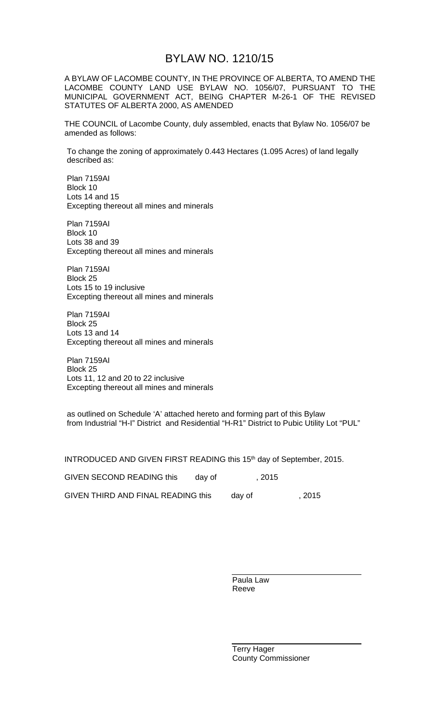## BYLAW NO. 1210/15

A BYLAW OF LACOMBE COUNTY, IN THE PROVINCE OF ALBERTA, TO AMEND THE LACOMBE COUNTY LAND USE BYLAW NO. 1056/07, PURSUANT TO THE MUNICIPAL GOVERNMENT ACT, BEING CHAPTER M-26-1 OF THE REVISED STATUTES OF ALBERTA 2000, AS AMENDED

THE COUNCIL of Lacombe County, duly assembled, enacts that Bylaw No. 1056/07 be amended as follows:

To change the zoning of approximately 0.443 Hectares (1.095 Acres) of land legally described as:

Plan 7159AI Block 10 Lots 14 and 15 Excepting thereout all mines and minerals

Plan 7159AI Block 10 Lots 38 and 39 Excepting thereout all mines and minerals

Plan 7159AI Block 25 Lots 15 to 19 inclusive Excepting thereout all mines and minerals

Plan 7159AI Block 25 Lots 13 and 14 Excepting thereout all mines and minerals

Plan 7159AI Block 25 Lots 11, 12 and 20 to 22 inclusive Excepting thereout all mines and minerals

as outlined on Schedule 'A' attached hereto and forming part of this Bylaw from Industrial "H-I" District and Residential "H-R1" District to Pubic Utility Lot "PUL"

INTRODUCED AND GIVEN FIRST READING this 15<sup>th</sup> day of September, 2015.

| GIVEN SECOND READING this          | dav of | . 2015 |        |
|------------------------------------|--------|--------|--------|
| GIVEN THIRD AND FINAL READING this |        | dav of | , 2015 |

Paula Law Reeve

Terry Hager County Commissioner